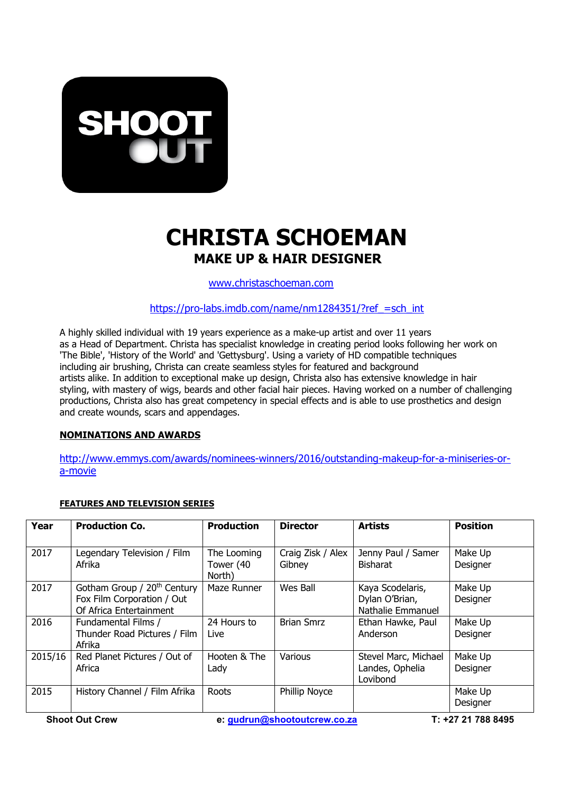

## **CHRISTA SCHOEMAN**

www.christaschoeman.com

https://pro-labs.imdb.com/name/nm1284351/?ref =sch\_int

A highly skilled individual with 19 years experience as a make-up artist and over 11 years as a Head of Department. Christa has specialist knowledge in creating period looks following her work on 'The Bible', 'History of the World' and 'Gettysburg'. Using a variety of HD compatible techniques including air brushing, Christa can create seamless styles for featured and background artists alike. In addition to exceptional make up design, Christa also has extensive knowledge in hair styling, with mastery of wigs, beards and other facial hair pieces. Having worked on a number of challenging productions, Christa also has great competency in special effects and is able to use prosthetics and design and create wounds, scars and appendages.

## **NOMINATIONS AND AWARDS**

http://www.emmys.com/awards/nominees-winners/2016/outstanding-makeup-for-a-miniseries-ora-movie

## **FEATURES AND TELEVISION SERIES**

| Year    | <b>Production Co.</b>                                                                            | <b>Production</b>                  | <b>Director</b>             | <b>Artists</b>                                          | <b>Position</b>     |
|---------|--------------------------------------------------------------------------------------------------|------------------------------------|-----------------------------|---------------------------------------------------------|---------------------|
| 2017    | Legendary Television / Film<br>Afrika                                                            | The Looming<br>Tower (40<br>North) | Craig Zisk / Alex<br>Gibney | Jenny Paul / Samer<br><b>Bisharat</b>                   | Make Up<br>Designer |
| 2017    | Gotham Group / 20 <sup>th</sup> Century<br>Fox Film Corporation / Out<br>Of Africa Entertainment | Maze Runner                        | Wes Ball                    | Kaya Scodelaris,<br>Dylan O'Brian,<br>Nathalie Emmanuel | Make Up<br>Designer |
| 2016    | Fundamental Films /<br>Thunder Road Pictures / Film<br>Afrika                                    | 24 Hours to<br>Live                | <b>Brian Smrz</b>           | Ethan Hawke, Paul<br>Anderson                           | Make Up<br>Designer |
| 2015/16 | Red Planet Pictures / Out of<br>Africa                                                           | Hooten & The<br>Lady               | <b>Various</b>              | Stevel Marc, Michael<br>Landes, Ophelia<br>Lovibond     | Make Up<br>Designer |
| 2015    | History Channel / Film Afrika                                                                    | Roots                              | Phillip Noyce               |                                                         | Make Up<br>Designer |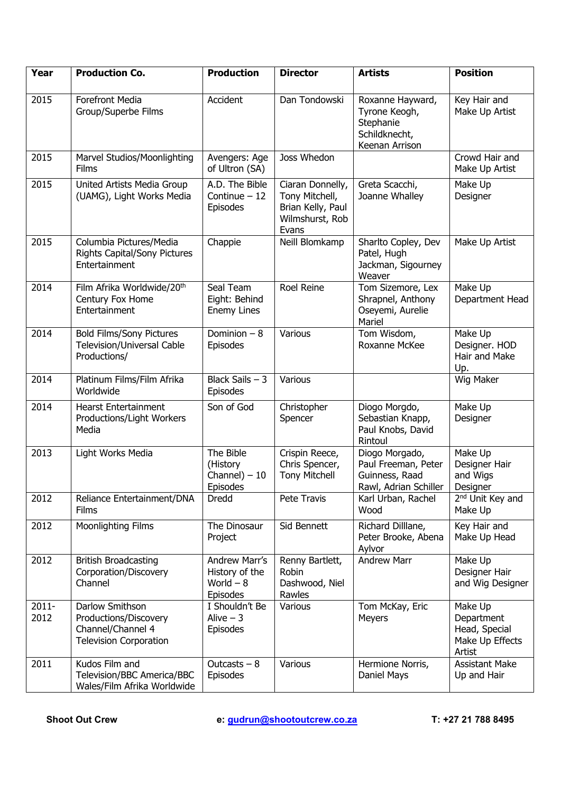| Year             | <b>Production Co.</b>                                                                          | <b>Production</b>                                         | <b>Director</b>                                                                     | <b>Artists</b>                                                                    | <b>Position</b>                                                     |
|------------------|------------------------------------------------------------------------------------------------|-----------------------------------------------------------|-------------------------------------------------------------------------------------|-----------------------------------------------------------------------------------|---------------------------------------------------------------------|
| 2015             | <b>Forefront Media</b><br>Group/Superbe Films                                                  | Accident                                                  | Dan Tondowski                                                                       | Roxanne Hayward,<br>Tyrone Keogh,<br>Stephanie<br>Schildknecht,<br>Keenan Arrison | Key Hair and<br>Make Up Artist                                      |
| 2015             | Marvel Studios/Moonlighting<br>Films                                                           | Avengers: Age<br>of Ultron (SA)                           | Joss Whedon                                                                         |                                                                                   | Crowd Hair and<br>Make Up Artist                                    |
| 2015             | United Artists Media Group<br>(UAMG), Light Works Media                                        | A.D. The Bible<br>Continue $-12$<br><b>Episodes</b>       | Ciaran Donnelly,<br>Tony Mitchell,<br>Brian Kelly, Paul<br>Wilmshurst, Rob<br>Evans | Greta Scacchi,<br>Joanne Whalley                                                  | Make Up<br>Designer                                                 |
| 2015             | Columbia Pictures/Media<br><b>Rights Capital/Sony Pictures</b><br>Entertainment                | Chappie                                                   | Neill Blomkamp                                                                      | Sharlto Copley, Dev<br>Patel, Hugh<br>Jackman, Sigourney<br>Weaver                | Make Up Artist                                                      |
| 2014             | Film Afrika Worldwide/20th<br>Century Fox Home<br>Entertainment                                | Seal Team<br>Eight: Behind<br><b>Enemy Lines</b>          | Roel Reine                                                                          | Tom Sizemore, Lex<br>Shrapnel, Anthony<br>Oseyemi, Aurelie<br>Mariel              | Make Up<br>Department Head                                          |
| 2014             | <b>Bold Films/Sony Pictures</b><br>Television/Universal Cable<br>Productions/                  | Dominion $-8$<br>Episodes                                 | Various                                                                             | Tom Wisdom,<br>Roxanne McKee                                                      | Make Up<br>Designer. HOD<br>Hair and Make<br>Up.                    |
| 2014             | Platinum Films/Film Afrika<br>Worldwide                                                        | Black Sails $-3$<br>Episodes                              | Various                                                                             |                                                                                   | Wig Maker                                                           |
| 2014             | <b>Hearst Entertainment</b><br>Productions/Light Workers<br>Media                              | Son of God                                                | Christopher<br>Spencer                                                              | Diogo Morgdo,<br>Sebastian Knapp,<br>Paul Knobs, David<br>Rintoul                 | Make Up<br>Designer                                                 |
| 2013             | Light Works Media                                                                              | The Bible<br>(History<br>Channel $) - 10$<br>Episodes     | Crispin Reece,<br>Chris Spencer,<br><b>Tony Mitchell</b>                            | Diogo Morgado,<br>Paul Freeman, Peter<br>Guinness, Raad<br>Rawl, Adrian Schiller  | Make Up<br>Designer Hair<br>and Wigs<br>Designer                    |
| 2012             | Reliance Entertainment/DNA<br><b>Films</b>                                                     | Dredd                                                     | Pete Travis                                                                         | Karl Urban, Rachel<br>Wood                                                        | 2 <sup>nd</sup> Unit Key and<br>Make Up                             |
| 2012             | Moonlighting Films                                                                             | The Dinosaur<br>Project                                   | Sid Bennett                                                                         | Richard Dilllane,<br>Peter Brooke, Abena<br>Aylvor                                | Key Hair and<br>Make Up Head                                        |
| 2012             | <b>British Broadcasting</b><br>Corporation/Discovery<br>Channel                                | Andrew Marr's<br>History of the<br>World $-8$<br>Episodes | Renny Bartlett,<br>Robin<br>Dashwood, Niel<br>Rawles                                | <b>Andrew Marr</b>                                                                | Make Up<br>Designer Hair<br>and Wig Designer                        |
| $2011 -$<br>2012 | Darlow Smithson<br>Productions/Discovery<br>Channel/Channel 4<br><b>Television Corporation</b> | I Shouldn't Be<br>Alive $-3$<br><b>Episodes</b>           | Various                                                                             | Tom McKay, Eric<br>Meyers                                                         | Make Up<br>Department<br>Head, Special<br>Make Up Effects<br>Artist |
| 2011             | Kudos Film and<br>Television/BBC America/BBC<br>Wales/Film Afrika Worldwide                    | Outcasts $-8$<br>Episodes                                 | Various                                                                             | Hermione Norris,<br>Daniel Mays                                                   | <b>Assistant Make</b><br>Up and Hair                                |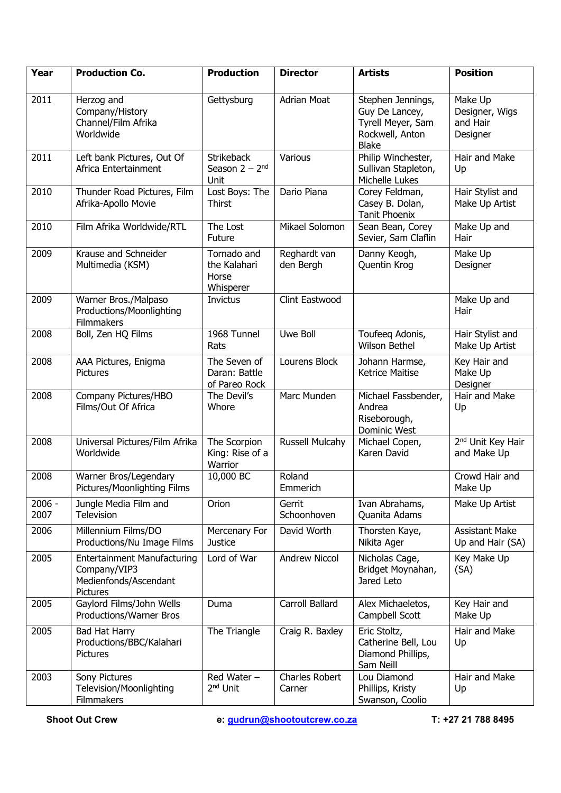| Year             | <b>Production Co.</b>                                                                          | <b>Production</b>                                 | <b>Director</b>                 | <b>Artists</b>                                                                              | <b>Position</b>                                   |
|------------------|------------------------------------------------------------------------------------------------|---------------------------------------------------|---------------------------------|---------------------------------------------------------------------------------------------|---------------------------------------------------|
| 2011             | Herzog and<br>Company/History<br>Channel/Film Afrika<br>Worldwide                              | Gettysburg                                        | <b>Adrian Moat</b>              | Stephen Jennings,<br>Guy De Lancey,<br>Tyrell Meyer, Sam<br>Rockwell, Anton<br><b>Blake</b> | Make Up<br>Designer, Wigs<br>and Hair<br>Designer |
| 2011             | Left bank Pictures, Out Of<br>Africa Entertainment                                             | <b>Strikeback</b><br>Season $2 - 2nd$<br>Unit     | Various                         | Philip Winchester,<br>Sullivan Stapleton,<br>Michelle Lukes                                 | Hair and Make<br>Up                               |
| 2010             | Thunder Road Pictures, Film<br>Afrika-Apollo Movie                                             | Lost Boys: The<br><b>Thirst</b>                   | Dario Piana                     | Corey Feldman,<br>Casey B. Dolan,<br>Tanit Phoenix                                          | Hair Stylist and<br>Make Up Artist                |
| 2010             | Film Afrika Worldwide/RTL                                                                      | The Lost<br>Future                                | Mikael Solomon                  | Sean Bean, Corey<br>Sevier, Sam Claflin                                                     | Make Up and<br>Hair                               |
| 2009             | Krause and Schneider<br>Multimedia (KSM)                                                       | Tornado and<br>the Kalahari<br>Horse<br>Whisperer | Reghardt van<br>den Bergh       | Danny Keogh,<br>Quentin Krog                                                                | Make Up<br>Designer                               |
| 2009             | Warner Bros./Malpaso<br>Productions/Moonlighting<br>Filmmakers                                 | <b>Invictus</b>                                   | Clint Eastwood                  |                                                                                             | Make Up and<br>Hair                               |
| 2008             | Boll, Zen HQ Films                                                                             | 1968 Tunnel<br>Rats                               | Uwe Boll                        | Toufeeg Adonis,<br>Wilson Bethel                                                            | Hair Stylist and<br>Make Up Artist                |
| 2008             | AAA Pictures, Enigma<br><b>Pictures</b>                                                        | The Seven of<br>Daran: Battle<br>of Pareo Rock    | Lourens Block                   | Johann Harmse,<br><b>Ketrice Maitise</b>                                                    | Key Hair and<br>Make Up<br>Designer               |
| 2008             | Company Pictures/HBO<br>Films/Out Of Africa                                                    | The Devil's<br>Whore                              | Marc Munden                     | Michael Fassbender,<br>Andrea<br>Riseborough,<br>Dominic West                               | Hair and Make<br>Up                               |
| 2008             | Universal Pictures/Film Afrika<br>Worldwide                                                    | The Scorpion<br>King: Rise of a<br>Warrior        | Russell Mulcahy                 | Michael Copen,<br>Karen David                                                               | 2 <sup>nd</sup> Unit Key Hair<br>and Make Up      |
| 2008             | Warner Bros/Legendary<br>Pictures/Moonlighting Films                                           | 10,000 BC                                         | Roland<br>Emmerich              |                                                                                             | Crowd Hair and<br>Make Up                         |
| $2006 -$<br>2007 | Jungle Media Film and<br>Television                                                            | Orion                                             | Gerrit<br>Schoonhoven           | Ivan Abrahams,<br>Quanita Adams                                                             | Make Up Artist                                    |
| 2006             | Millennium Films/DO<br>Productions/Nu Image Films                                              | Mercenary For<br><b>Justice</b>                   | David Worth                     | Thorsten Kaye,<br>Nikita Ager                                                               | <b>Assistant Make</b><br>Up and Hair (SA)         |
| 2005             | <b>Entertainment Manufacturing</b><br>Company/VIP3<br>Medienfonds/Ascendant<br><b>Pictures</b> | Lord of War                                       | <b>Andrew Niccol</b>            | Nicholas Cage,<br>Bridget Moynahan,<br>Jared Leto                                           | Key Make Up<br>(SA)                               |
| 2005             | Gaylord Films/John Wells<br>Productions/Warner Bros                                            | Duma                                              | Carroll Ballard                 | Alex Michaeletos,<br>Campbell Scott                                                         | Key Hair and<br>Make Up                           |
| 2005             | Bad Hat Harry<br>Productions/BBC/Kalahari<br><b>Pictures</b>                                   | The Triangle                                      | Craig R. Baxley                 | Eric Stoltz,<br>Catherine Bell, Lou<br>Diamond Phillips,<br>Sam Neill                       | Hair and Make<br>Up                               |
| 2003             | Sony Pictures<br>Television/Moonlighting<br>Filmmakers                                         | Red Water -<br>2 <sup>nd</sup> Unit               | <b>Charles Robert</b><br>Carner | Lou Diamond<br>Phillips, Kristy<br>Swanson, Coolio                                          | Hair and Make<br>Up                               |